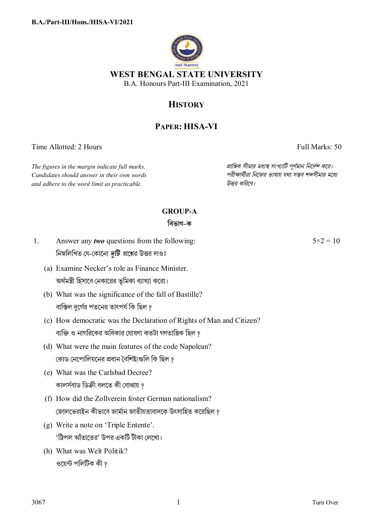

# **HISTORY**

## **PAPER: HISA-VI**

Time Allotted: 2 Hours Full Marks: 50

*Candidates should answer in their own words পরীkাথীরা িনেজর ভাষায় যথা সmব শbসীমার মেধ° and adhere to the word limit as practicable. উtর কিরেব।*

*The figures in the margin indicate full marks. pািnক সীমার মধ°s সংখ°ািট পূণমান িনেদশ কের।*

### **GROUP-A**

### **িবভাগ-ক**

- 1. Answer any *two* questions from the following: নিম্নলিখিত যে-কোনো *দুটি প্র*শ্নের উত্তর দাওঃ
	- (a) Examine Necker's role as Finance Minister. অর্থমন্ত্রী হিসাবে নেকারের ভূমিকা ব্যাখ্যা করো।
	- (b) What was the significance of the fall of Bastille? বাস্তিল দুর্গের পতনের তাৎপর্য কি ছিল ?
	- (c) How democratic was the Declaration of Rights of Man and Citizen? ব্যক্তি ও নাগরিকের অধিকার ঘোষণা কতটা গণতান্ত্রিক ছিল <u>?</u>
	- (d) What were the main features of the code Napolean? কোড নেপোলিয়নের প্রধান বৈশিষ্টাগুলি কি ছিল ?
	- (e) What was the Carlsbad Decree? কালৰ্সবাড ডিক্ৰী বলতে কী বোঝায় ?
	- (f) How did the Zollverein foster German nationalism? জোলভেরাইন কীভাবে জার্মান জাতীয়তাবাদকে উৎসাহিত করেছিল ?
	- (g) Write a note on 'Triple Entente'. 'ট্রিপল আঁতাতের' উপর একটি টীকা লেখো।
	- (h) What was Welt Politik? ওয়েন্ট পলিটিক কী গ

 $5 \times 2 = 10$